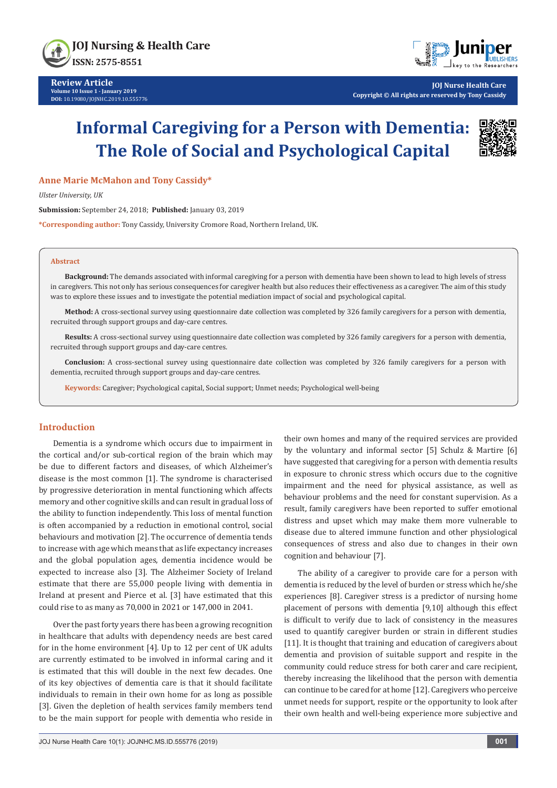



**JOJ Nurse Health Care Copyright © All rights are reserved by Tony Cassidy**

# **Informal Caregiving for a Person with Dementia: The Role of Social and Psychological Capital**



# **Anne Marie McMahon and Tony Cassidy\***

*Ulster University, UK*

**Submission:** September 24, 2018; **Published:** January 03, 2019

**\*Corresponding author:** Tony Cassidy, University Cromore Road, Northern Ireland, UK.

#### **Abstract**

**Background:** The demands associated with informal caregiving for a person with dementia have been shown to lead to high levels of stress in caregivers. This not only has serious consequences for caregiver health but also reduces their effectiveness as a caregiver. The aim of this study was to explore these issues and to investigate the potential mediation impact of social and psychological capital.

**Method:** A cross-sectional survey using questionnaire date collection was completed by 326 family caregivers for a person with dementia, recruited through support groups and day-care centres.

**Results:** A cross-sectional survey using questionnaire date collection was completed by 326 family caregivers for a person with dementia, recruited through support groups and day-care centres.

**Conclusion:** A cross-sectional survey using questionnaire date collection was completed by 326 family caregivers for a person with dementia, recruited through support groups and day-care centres.

**Keywords:** Caregiver; Psychological capital, Social support; Unmet needs; Psychological well-being

#### **Introduction**

Dementia is a syndrome which occurs due to impairment in the cortical and/or sub-cortical region of the brain which may be due to different factors and diseases, of which Alzheimer's disease is the most common [1]. The syndrome is characterised by progressive deterioration in mental functioning which affects memory and other cognitive skills and can result in gradual loss of the ability to function independently. This loss of mental function is often accompanied by a reduction in emotional control, social behaviours and motivation [2]. The occurrence of dementia tends to increase with age which means that as life expectancy increases and the global population ages, dementia incidence would be expected to increase also [3]. The Alzheimer Society of Ireland estimate that there are 55,000 people living with dementia in Ireland at present and Pierce et al. [3] have estimated that this could rise to as many as 70,000 in 2021 or 147,000 in 2041.

Over the past forty years there has been a growing recognition in healthcare that adults with dependency needs are best cared for in the home environment [4]. Up to 12 per cent of UK adults are currently estimated to be involved in informal caring and it is estimated that this will double in the next few decades. One of its key objectives of dementia care is that it should facilitate individuals to remain in their own home for as long as possible [3]. Given the depletion of health services family members tend to be the main support for people with dementia who reside in

their own homes and many of the required services are provided by the voluntary and informal sector [5] Schulz & Martire [6] have suggested that caregiving for a person with dementia results in exposure to chronic stress which occurs due to the cognitive impairment and the need for physical assistance, as well as behaviour problems and the need for constant supervision. As a result, family caregivers have been reported to suffer emotional distress and upset which may make them more vulnerable to disease due to altered immune function and other physiological consequences of stress and also due to changes in their own cognition and behaviour [7].

The ability of a caregiver to provide care for a person with dementia is reduced by the level of burden or stress which he/she experiences [8]. Caregiver stress is a predictor of nursing home placement of persons with dementia [9,10] although this effect is difficult to verify due to lack of consistency in the measures used to quantify caregiver burden or strain in different studies [11]. It is thought that training and education of caregivers about dementia and provision of suitable support and respite in the community could reduce stress for both carer and care recipient, thereby increasing the likelihood that the person with dementia can continue to be cared for at home [12]. Caregivers who perceive unmet needs for support, respite or the opportunity to look after their own health and well-being experience more subjective and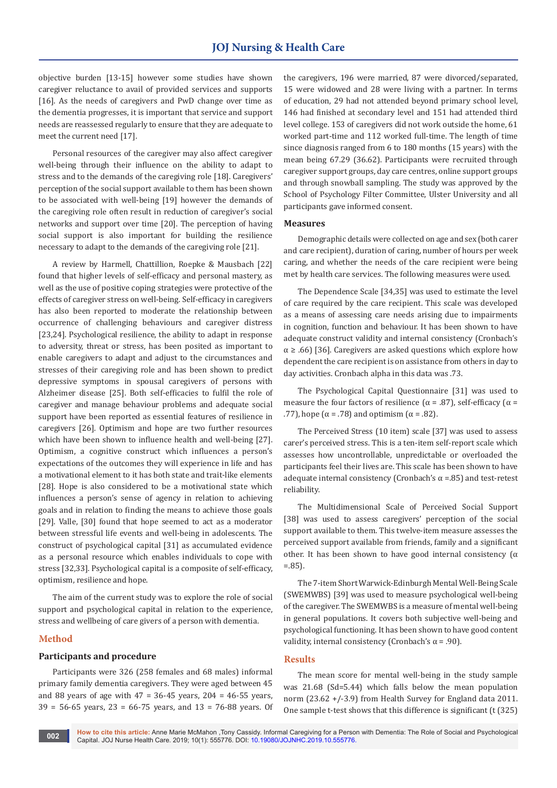objective burden [13-15] however some studies have shown caregiver reluctance to avail of provided services and supports [16]. As the needs of caregivers and PwD change over time as the dementia progresses, it is important that service and support needs are reassessed regularly to ensure that they are adequate to meet the current need [17].

Personal resources of the caregiver may also affect caregiver well-being through their influence on the ability to adapt to stress and to the demands of the caregiving role [18]. Caregivers' perception of the social support available to them has been shown to be associated with well-being [19] however the demands of the caregiving role often result in reduction of caregiver's social networks and support over time [20]. The perception of having social support is also important for building the resilience necessary to adapt to the demands of the caregiving role [21].

A review by Harmell, Chattillion, Roepke & Mausbach [22] found that higher levels of self-efficacy and personal mastery, as well as the use of positive coping strategies were protective of the effects of caregiver stress on well-being. Self-efficacy in caregivers has also been reported to moderate the relationship between occurrence of challenging behaviours and caregiver distress [23,24]. Psychological resilience, the ability to adapt in response to adversity, threat or stress, has been posited as important to enable caregivers to adapt and adjust to the circumstances and stresses of their caregiving role and has been shown to predict depressive symptoms in spousal caregivers of persons with Alzheimer disease [25]. Both self-efficacies to fulfil the role of caregiver and manage behaviour problems and adequate social support have been reported as essential features of resilience in caregivers [26]. Optimism and hope are two further resources which have been shown to influence health and well-being [27]. Optimism, a cognitive construct which influences a person's expectations of the outcomes they will experience in life and has a motivational element to it has both state and trait-like elements [28]. Hope is also considered to be a motivational state which influences a person's sense of agency in relation to achieving goals and in relation to finding the means to achieve those goals [29]. Valle, [30] found that hope seemed to act as a moderator between stressful life events and well-being in adolescents. The construct of psychological capital [31] as accumulated evidence as a personal resource which enables individuals to cope with stress [32,33]. Psychological capital is a composite of self-efficacy, optimism, resilience and hope.

The aim of the current study was to explore the role of social support and psychological capital in relation to the experience, stress and wellbeing of care givers of a person with dementia.

# **Method**

#### **Participants and procedure**

Participants were 326 (258 females and 68 males) informal primary family dementia caregivers. They were aged between 45 and 88 years of age with  $47 = 36 - 45$  years,  $204 = 46 - 55$  years, 39 = 56-65 years, 23 = 66-75 years, and 13 = 76-88 years. Of the caregivers, 196 were married, 87 were divorced/separated, 15 were widowed and 28 were living with a partner. In terms of education, 29 had not attended beyond primary school level, 146 had finished at secondary level and 151 had attended third level college. 153 of caregivers did not work outside the home, 61 worked part-time and 112 worked full-time. The length of time since diagnosis ranged from 6 to 180 months (15 years) with the mean being 67.29 (36.62). Participants were recruited through caregiver support groups, day care centres, online support groups and through snowball sampling. The study was approved by the School of Psychology Filter Committee, Ulster University and all participants gave informed consent.

#### **Measures**

Demographic details were collected on age and sex (both carer and care recipient), duration of caring, number of hours per week caring, and whether the needs of the care recipient were being met by health care services. The following measures were used.

The Dependence Scale [34,35] was used to estimate the level of care required by the care recipient. This scale was developed as a means of assessing care needs arising due to impairments in cognition, function and behaviour. It has been shown to have adequate construct validity and internal consistency (Cronbach's  $\alpha \geq .66$  [36]. Caregivers are asked questions which explore how dependent the care recipient is on assistance from others in day to day activities. Cronbach alpha in this data was .73.

The Psychological Capital Questionnaire [31] was used to measure the four factors of resilience ( $\alpha$  = .87), self-efficacy ( $\alpha$  = .77), hope ( $\alpha$  = .78) and optimism ( $\alpha$  = .82).

The Perceived Stress (10 item) scale [37] was used to assess carer's perceived stress. This is a ten-item self-report scale which assesses how uncontrollable, unpredictable or overloaded the participants feel their lives are. This scale has been shown to have adequate internal consistency (Cronbach's  $\alpha$  =.85) and test-retest reliability.

The Multidimensional Scale of Perceived Social Support [38] was used to assess caregivers' perception of the social support available to them. This twelve-item measure assesses the perceived support available from friends, family and a significant other. It has been shown to have good internal consistency ( $α$ =.85).

The 7-item Short Warwick-Edinburgh Mental Well-Being Scale (SWEMWBS) [39] was used to measure psychological well-being of the caregiver. The SWEMWBS is a measure of mental well-being in general populations. It covers both subjective well-being and psychological functioning. It has been shown to have good content validity, internal consistency (Cronbach's  $\alpha$  = .90).

## **Results**

The mean score for mental well-being in the study sample was 21.68 (Sd=5.44) which falls below the mean population norm (23.62 +/-3.9) from Health Survey for England data 2011. One sample t-test shows that this difference is significant (t (325)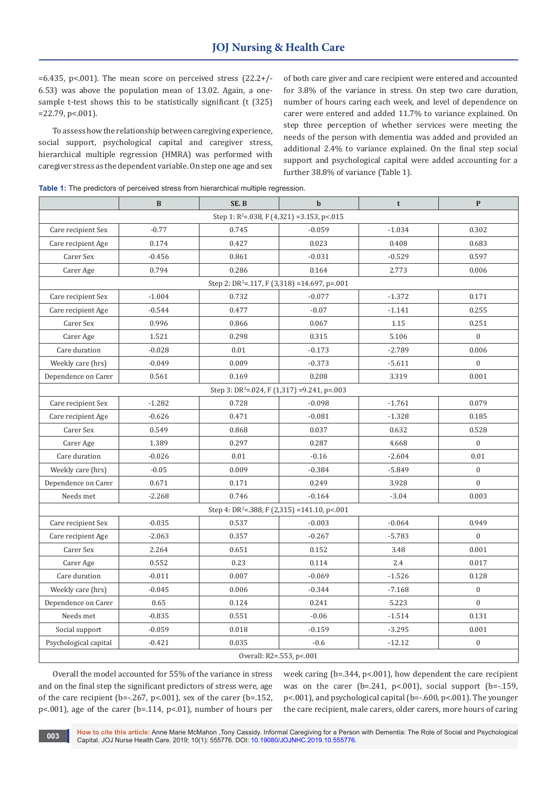$=6.435$ , p<.001). The mean score on perceived stress  $(22.2+/-$ 6.53) was above the population mean of 13.02. Again, a onesample t-test shows this to be statistically significant (t (325) =22.79, p<.001).

To assess how the relationship between caregiving experience, social support, psychological capital and caregiver stress, hierarchical multiple regression (HMRA) was performed with caregiver stress as the dependent variable. On step one age and sex of both care giver and care recipient were entered and accounted for 3.8% of the variance in stress. On step two care duration, number of hours caring each week, and level of dependence on carer were entered and added 11.7% to variance explained. On step three perception of whether services were meeting the needs of the person with dementia was added and provided an additional 2.4% to variance explained. On the final step social support and psychological capital were added accounting for a further 38.8% of variance (Table 1).

**Table 1:** The predictors of perceived stress from hierarchical multiple regression

|                                                          | <sub>B</sub> | SE.B                                                     | $\mathbf b$ | t        | $\mathbf{P}$     |  |  |  |
|----------------------------------------------------------|--------------|----------------------------------------------------------|-------------|----------|------------------|--|--|--|
| Step 1: R <sup>2</sup> =.038, F (4,321) =3.153, p<.015   |              |                                                          |             |          |                  |  |  |  |
| Care recipient Sex                                       | $-0.77$      | 0.745                                                    | $-0.059$    | $-1.034$ | 0.302            |  |  |  |
| Care recipient Age                                       | 0.174        | 0.427                                                    | 0.023       | 0.408    | 0.683            |  |  |  |
| Carer Sex                                                | $-0.456$     | 0.861                                                    | $-0.031$    | $-0.529$ | 0.597            |  |  |  |
| Carer Age                                                | 0.794        | 0.286                                                    | 0.164       | 2.773    | 0.006            |  |  |  |
| Step 2: DR <sup>2</sup> =.117, F (3,318) =14.697, p=.001 |              |                                                          |             |          |                  |  |  |  |
| Care recipient Sex                                       | $-1.004$     | 0.732                                                    | $-0.077$    | $-1.372$ | 0.171            |  |  |  |
| Care recipient Age                                       | $-0.544$     | 0.477                                                    | $-0.07$     | $-1.141$ | 0.255            |  |  |  |
| Carer Sex                                                | 0.996        | 0.866                                                    | 0.067       | 1.15     | 0.251            |  |  |  |
| Carer Age                                                | 1.521        | 0.298                                                    | 0.315       | 5.106    | $\overline{0}$   |  |  |  |
| Care duration                                            | $-0.028$     | 0.01                                                     | $-0.173$    | $-2.789$ | 0.006            |  |  |  |
| Weekly care (hrs)                                        | $-0.049$     | 0.009                                                    | $-0.373$    | $-5.611$ | $\overline{0}$   |  |  |  |
| Dependence on Carer                                      | 0.561        | 0.169                                                    | 0.208       | 3.319    | 0.001            |  |  |  |
| Step 3: DR <sup>2</sup> =.024, F (1,317) =9.241, p=.003  |              |                                                          |             |          |                  |  |  |  |
| Care recipient Sex                                       | $-1.282$     | 0.728                                                    | $-0.098$    | $-1.761$ | 0.079            |  |  |  |
| Care recipient Age                                       | $-0.626$     | 0.471                                                    | $-0.081$    | $-1.328$ | 0.185            |  |  |  |
| Carer Sex                                                | 0.549        | 0.868                                                    | 0.037       | 0.632    | 0.528            |  |  |  |
| Carer Age                                                | 1.389        | 0.297                                                    | 0.287       | 4.668    | $\boldsymbol{0}$ |  |  |  |
| Care duration                                            | $-0.026$     | 0.01                                                     | $-0.16$     | $-2.604$ | 0.01             |  |  |  |
| Weekly care (hrs)                                        | $-0.05$      | 0.009                                                    | $-0.384$    | $-5.849$ | $\boldsymbol{0}$ |  |  |  |
| Dependence on Carer                                      | 0.671        | 0.171                                                    | 0.249       | 3.928    | $\overline{0}$   |  |  |  |
| Needs met                                                | $-2.268$     | 0.746                                                    | $-0.164$    | $-3.04$  | 0.003            |  |  |  |
|                                                          |              | Step 4: DR <sup>2</sup> =.388, F (2,315) =141.10, p<.001 |             |          |                  |  |  |  |
| Care recipient Sex                                       | $-0.035$     | 0.537                                                    | $-0.003$    | $-0.064$ | 0.949            |  |  |  |
| Care recipient Age                                       | $-2.063$     | 0.357                                                    | $-0.267$    | $-5.783$ | $\boldsymbol{0}$ |  |  |  |
| Carer Sex                                                | 2.264        | 0.651                                                    | 0.152       | 3.48     | 0.001            |  |  |  |
| Carer Age                                                | 0.552        | 0.23                                                     | 0.114       | 2.4      | 0.017            |  |  |  |
| Care duration                                            | $-0.011$     | 0.007                                                    | $-0.069$    | $-1.526$ | 0.128            |  |  |  |
| Weekly care (hrs)                                        | $-0.045$     | 0.006                                                    | $-0.344$    | $-7.168$ | $\boldsymbol{0}$ |  |  |  |
| Dependence on Carer                                      | 0.65         | 0.124                                                    | 0.241       | 5.223    | $\overline{0}$   |  |  |  |
| Needs met                                                | $-0.835$     | 0.551                                                    | $-0.06$     | $-1.514$ | 0.131            |  |  |  |
| Social support                                           | $-0.059$     | 0.018                                                    | $-0.159$    | $-3.295$ | 0.001            |  |  |  |
| Psychological capital                                    | $-0.421$     | 0.035                                                    | $-0.6$      | $-12.12$ | $\boldsymbol{0}$ |  |  |  |
| Overall: R2=.553, p<.001                                 |              |                                                          |             |          |                  |  |  |  |

Overall the model accounted for 55% of the variance in stress and on the final step the significant predictors of stress were, age of the care recipient (b=-.267, p<.001), sex of the carer (b=.152, p<.001), age of the carer (b=.114, p<.01), number of hours per week caring (b=.344, p<.001), how dependent the care recipient was on the carer (b=.241, p<.001), social support (b=-.159, p<.001), and psychological capital (b=-.600, p<.001). The younger the care recipient, male carers, older carers, more hours of caring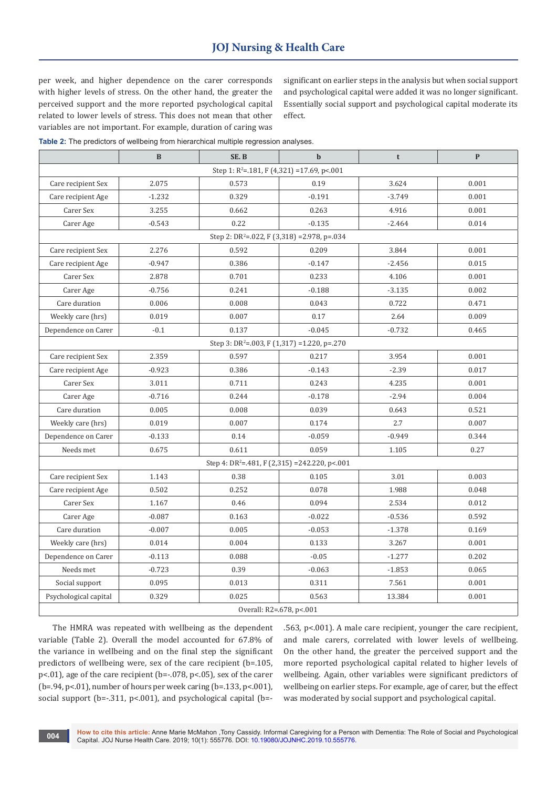per week, and higher dependence on the carer corresponds with higher levels of stress. On the other hand, the greater the perceived support and the more reported psychological capital related to lower levels of stress. This does not mean that other variables are not important. For example, duration of caring was

significant on earlier steps in the analysis but when social support and psychological capital were added it was no longer significant. Essentially social support and psychological capital moderate its effect.

**Table 2:** The predictors of wellbeing from hierarchical multiple regression analyses.

|                                                          | $\bf{B}$ | SE.B  | $\mathbf b$                                                 | t        | $\mathbf{P}$ |  |  |  |
|----------------------------------------------------------|----------|-------|-------------------------------------------------------------|----------|--------------|--|--|--|
| Step 1: $R^2$ =.181, F (4,321) =17.69, p<.001            |          |       |                                                             |          |              |  |  |  |
| Care recipient Sex                                       | 2.075    | 0.573 | 0.19                                                        | 3.624    | 0.001        |  |  |  |
| Care recipient Age                                       | $-1.232$ | 0.329 | $-0.191$                                                    | $-3.749$ | 0.001        |  |  |  |
| Carer Sex                                                | 3.255    | 0.662 | 0.263                                                       | 4.916    | 0.001        |  |  |  |
| Carer Age                                                | $-0.543$ | 0.22  | $-0.135$                                                    | $-2.464$ | 0.014        |  |  |  |
| Step 2: DR <sup>2</sup> =.022, F (3,318) = 2.978, p=.034 |          |       |                                                             |          |              |  |  |  |
| Care recipient Sex                                       | 2.276    | 0.592 | 0.209                                                       | 3.844    | 0.001        |  |  |  |
| Care recipient Age                                       | $-0.947$ | 0.386 | $-0.147$                                                    | $-2.456$ | 0.015        |  |  |  |
| Carer Sex                                                | 2.878    | 0.701 | 0.233                                                       | 4.106    | 0.001        |  |  |  |
| Carer Age                                                | $-0.756$ | 0.241 | $-0.188$                                                    | $-3.135$ | 0.002        |  |  |  |
| Care duration                                            | 0.006    | 0.008 | 0.043                                                       | 0.722    | 0.471        |  |  |  |
| Weekly care (hrs)                                        | 0.019    | 0.007 | 0.17                                                        | 2.64     | 0.009        |  |  |  |
| Dependence on Carer                                      | $-0.1$   | 0.137 | $-0.045$                                                    | $-0.732$ | 0.465        |  |  |  |
| Step 3: DR <sup>2</sup> =.003, F (1,317) = 1.220, p=.270 |          |       |                                                             |          |              |  |  |  |
| Care recipient Sex                                       | 2.359    | 0.597 | 0.217                                                       | 3.954    | 0.001        |  |  |  |
| Care recipient Age                                       | $-0.923$ | 0.386 | $-0.143$                                                    | $-2.39$  | 0.017        |  |  |  |
| Carer Sex                                                | 3.011    | 0.711 | 0.243                                                       | 4.235    | 0.001        |  |  |  |
| Carer Age                                                | $-0.716$ | 0.244 | $-0.178$                                                    | $-2.94$  | 0.004        |  |  |  |
| Care duration                                            | 0.005    | 0.008 | 0.039                                                       | 0.643    | 0.521        |  |  |  |
| Weekly care (hrs)                                        | 0.019    | 0.007 | 0.174                                                       | 2.7      | 0.007        |  |  |  |
| Dependence on Carer                                      | $-0.133$ | 0.14  | $-0.059$                                                    | $-0.949$ | 0.344        |  |  |  |
| Needs met                                                | 0.675    | 0.611 | 0.059                                                       | 1.105    | 0.27         |  |  |  |
|                                                          |          |       | Step 4: DR <sup>2</sup> =.481, F (2,315) = 242.220, p < 001 |          |              |  |  |  |
| Care recipient Sex                                       | 1.143    | 0.38  | 0.105                                                       | 3.01     | 0.003        |  |  |  |
| Care recipient Age                                       | 0.502    | 0.252 | 0.078                                                       | 1.988    | 0.048        |  |  |  |
| Carer Sex                                                | 1.167    | 0.46  | 0.094                                                       | 2.534    | 0.012        |  |  |  |
| Carer Age                                                | $-0.087$ | 0.163 | $-0.022$                                                    | $-0.536$ | 0.592        |  |  |  |
| Care duration                                            | $-0.007$ | 0.005 | $-0.053$                                                    | $-1.378$ | 0.169        |  |  |  |
| Weekly care (hrs)                                        | 0.014    | 0.004 | 0.133                                                       | 3.267    | 0.001        |  |  |  |
| Dependence on Carer                                      | $-0.113$ | 0.088 | $-0.05$                                                     | $-1.277$ | 0.202        |  |  |  |
| Needs met                                                | $-0.723$ | 0.39  | $-0.063$                                                    | $-1.853$ | 0.065        |  |  |  |
| Social support                                           | 0.095    | 0.013 | 0.311                                                       | 7.561    | 0.001        |  |  |  |
| Psychological capital                                    | 0.329    | 0.025 | 0.563                                                       | 13.384   | 0.001        |  |  |  |
| Overall: R2=.678, p<.001                                 |          |       |                                                             |          |              |  |  |  |

The HMRA was repeated with wellbeing as the dependent variable (Table 2). Overall the model accounted for 67.8% of the variance in wellbeing and on the final step the significant predictors of wellbeing were, sex of the care recipient (b=.105, p<.01), age of the care recipient (b=-.078, p<.05), sex of the carer (b=.94, p<.01), number of hours per week caring (b=.133, p<.001), social support (b=-.311, p<.001), and psychological capital (b=-

.563, p<.001). A male care recipient, younger the care recipient, and male carers, correlated with lower levels of wellbeing. On the other hand, the greater the perceived support and the more reported psychological capital related to higher levels of wellbeing. Again, other variables were significant predictors of wellbeing on earlier steps. For example, age of carer, but the effect was moderated by social support and psychological capital.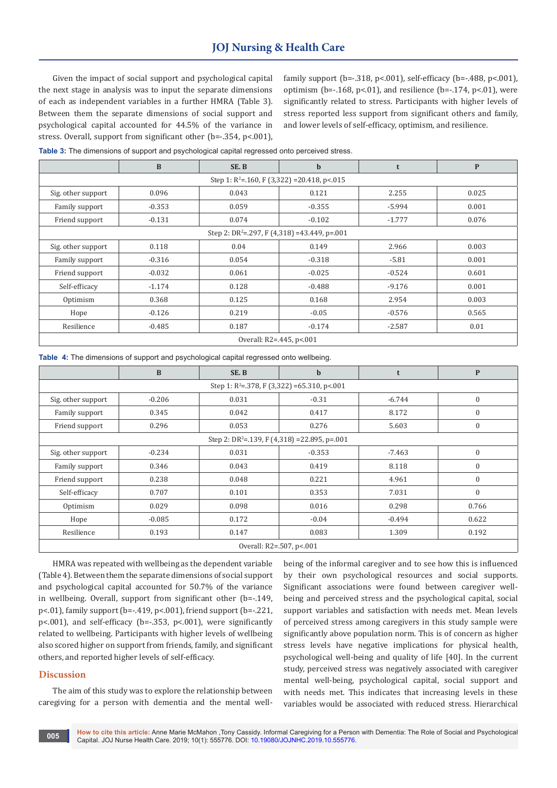# **JOJ Nursing & Health Care**

Given the impact of social support and psychological capital the next stage in analysis was to input the separate dimensions of each as independent variables in a further HMRA (Table 3). Between them the separate dimensions of social support and psychological capital accounted for 44.5% of the variance in stress. Overall, support from significant other (b=-.354, p<.001), family support (b=-.318, p<.001), self-efficacy (b=-.488, p<.001), optimism (b= $-.168$ , p<.01), and resilience (b= $-.174$ , p<.01), were significantly related to stress. Participants with higher levels of stress reported less support from significant others and family, and lower levels of self-efficacy, optimism, and resilience.

|  | Table 3: The dimensions of support and psychological capital regressed onto perceived stress. |  |  |  |  |  |
|--|-----------------------------------------------------------------------------------------------|--|--|--|--|--|
|  |                                                                                               |  |  |  |  |  |

|                                                           | $\bf{B}$ | SE.B                    | $\mathbf b$          | t        | $\mathbf{P}$ |  |  |  |
|-----------------------------------------------------------|----------|-------------------------|----------------------|----------|--------------|--|--|--|
| Step 1: $R^2$ =.160, F (3,322) = 20.418, p <.015          |          |                         |                      |          |              |  |  |  |
| Sig. other support                                        | 0.096    | 0.043<br>2.255<br>0.121 |                      |          |              |  |  |  |
| Family support                                            | $-0.353$ | 0.059                   | $-0.355$             | $-5.994$ | 0.001        |  |  |  |
| Friend support                                            | $-0.131$ | 0.074                   | $-0.102$<br>$-1.777$ |          | 0.076        |  |  |  |
| Step 2: DR <sup>2</sup> =.297, F (4,318) = 43.449, p=.001 |          |                         |                      |          |              |  |  |  |
| Sig. other support                                        | 0.118    | 0.04                    | 0.149                | 2.966    | 0.003        |  |  |  |
| Family support                                            | $-0.316$ | 0.054                   | $-0.318$             | $-5.81$  | 0.001        |  |  |  |
| Friend support                                            | $-0.032$ | 0.061                   | $-0.025$             | $-0.524$ | 0.601        |  |  |  |
| Self-efficacy                                             | $-1.174$ | 0.128                   | $-0.488$             | $-9.176$ | 0.001        |  |  |  |
| Optimism                                                  | 0.368    | 0.125                   | 0.168                | 2.954    | 0.003        |  |  |  |
| Hope                                                      | $-0.126$ | 0.219                   | $-0.05$              | $-0.576$ | 0.565        |  |  |  |
| Resilience                                                | $-0.485$ | 0.187                   | $-0.174$             | $-2.587$ | 0.01         |  |  |  |
| Overall: R2=.445, p<.001                                  |          |                         |                      |          |              |  |  |  |

**Table 4:** The dimensions of support and psychological capital regressed onto wellbeing.

|                                                           | $\mathbf{B}$ | SE.B  | $\mathbf b$ | t            | $\mathbf{P}$ |  |  |  |
|-----------------------------------------------------------|--------------|-------|-------------|--------------|--------------|--|--|--|
| Step 1: $R^2 = 378$ , F (3,322) = 65.310, p < 001         |              |       |             |              |              |  |  |  |
| Sig. other support                                        | $-0.206$     | 0.031 | $-6.744$    | $\mathbf{0}$ |              |  |  |  |
| Family support                                            | 0.345        | 0.042 | 0.417       | 8.172        | $\mathbf{0}$ |  |  |  |
| Friend support                                            | 0.296        | 0.053 | 0.276       | 5.603        | $\mathbf{0}$ |  |  |  |
| Step 2: DR <sup>2</sup> =.139, F (4,318) = 22.895, p=.001 |              |       |             |              |              |  |  |  |
| Sig. other support                                        | $-0.234$     | 0.031 | $-0.353$    | $-7.463$     | $\mathbf{0}$ |  |  |  |
| Family support                                            | 0.346        | 0.043 | 0.419       | 8.118        | $\mathbf{0}$ |  |  |  |
| Friend support                                            | 0.238        | 0.048 | 0.221       | 4.961        | $\mathbf{0}$ |  |  |  |
| Self-efficacy                                             | 0.707        | 0.101 | 0.353       | 7.031        | $\mathbf{0}$ |  |  |  |
| Optimism                                                  | 0.029        | 0.098 | 0.016       | 0.298        | 0.766        |  |  |  |
| Hope                                                      | $-0.085$     | 0.172 | $-0.04$     | $-0.494$     | 0.622        |  |  |  |
| Resilience                                                | 0.193        | 0.147 | 0.083       | 1.309        | 0.192        |  |  |  |
| Overall: R2=.507, p<.001                                  |              |       |             |              |              |  |  |  |

HMRA was repeated with wellbeing as the dependent variable (Table 4). Between them the separate dimensions of social support and psychological capital accounted for 50.7% of the variance in wellbeing. Overall, support from significant other (b=-.149, p<.01), family support (b=-.419, p<.001), friend support (b=-.221, p<.001), and self-efficacy (b=-.353, p<.001), were significantly related to wellbeing. Participants with higher levels of wellbeing also scored higher on support from friends, family, and significant others, and reported higher levels of self-efficacy.

### **Discussion**

The aim of this study was to explore the relationship between caregiving for a person with dementia and the mental wellbeing of the informal caregiver and to see how this is influenced by their own psychological resources and social supports. Significant associations were found between caregiver wellbeing and perceived stress and the psychological capital, social support variables and satisfaction with needs met. Mean levels of perceived stress among caregivers in this study sample were significantly above population norm. This is of concern as higher stress levels have negative implications for physical health, psychological well-being and quality of life [40]. In the current study, perceived stress was negatively associated with caregiver mental well-being, psychological capital, social support and with needs met. This indicates that increasing levels in these variables would be associated with reduced stress. Hierarchical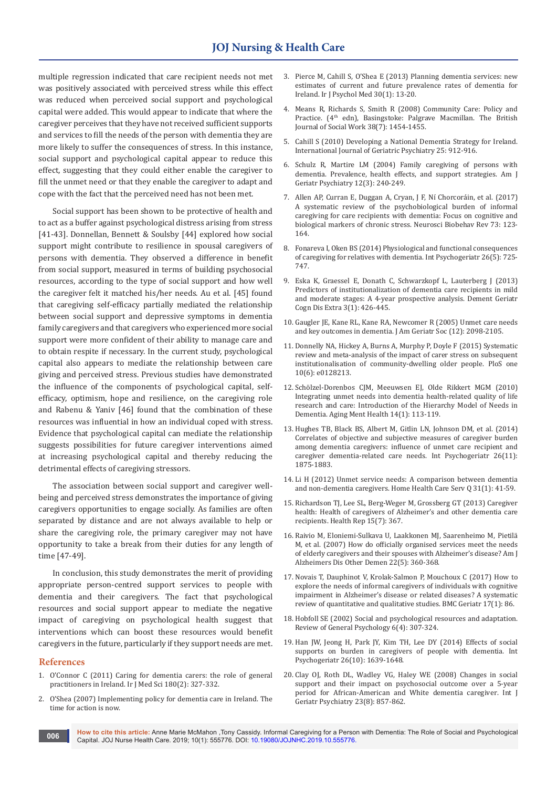multiple regression indicated that care recipient needs not met was positively associated with perceived stress while this effect was reduced when perceived social support and psychological capital were added. This would appear to indicate that where the caregiver perceives that they have not received sufficient supports and services to fill the needs of the person with dementia they are more likely to suffer the consequences of stress. In this instance, social support and psychological capital appear to reduce this effect, suggesting that they could either enable the caregiver to fill the unmet need or that they enable the caregiver to adapt and cope with the fact that the perceived need has not been met.

Social support has been shown to be protective of health and to act as a buffer against psychological distress arising from stress [41-43]. Donnellan, Bennett & Soulsby [44] explored how social support might contribute to resilience in spousal caregivers of persons with dementia. They observed a difference in benefit from social support, measured in terms of building psychosocial resources, according to the type of social support and how well the caregiver felt it matched his/her needs. Au et al. [45] found that caregiving self-efficacy partially mediated the relationship between social support and depressive symptoms in dementia family caregivers and that caregivers who experienced more social support were more confident of their ability to manage care and to obtain respite if necessary. In the current study, psychological capital also appears to mediate the relationship between care giving and perceived stress. Previous studies have demonstrated the influence of the components of psychological capital, selfefficacy, optimism, hope and resilience, on the caregiving role and Rabenu & Yaniv [46] found that the combination of these resources was influential in how an individual coped with stress. Evidence that psychological capital can mediate the relationship suggests possibilities for future caregiver interventions aimed at increasing psychological capital and thereby reducing the detrimental effects of caregiving stressors.

The association between social support and caregiver wellbeing and perceived stress demonstrates the importance of giving caregivers opportunities to engage socially. As families are often separated by distance and are not always available to help or share the caregiving role, the primary caregiver may not have opportunity to take a break from their duties for any length of time [47-49].

In conclusion, this study demonstrates the merit of providing appropriate person-centred support services to people with dementia and their caregivers. The fact that psychological resources and social support appear to mediate the negative impact of caregiving on psychological health suggest that interventions which can boost these resources would benefit caregivers in the future, particularly if they support needs are met.

#### **References**

- 1. [O'Connor C \(2011\) Caring for dementia carers: the role of general](https://www.ncbi.nlm.nih.gov/pubmed/21279463)  [practitioners in Ireland. Ir J Med Sci 180\(2\): 327-332.](https://www.ncbi.nlm.nih.gov/pubmed/21279463)
- 2. [O'Shea \(2007\) Implementing policy for dementia care in Ireland. The](https://www.lenus.ie/handle/10147/196455)  [time for action is now.](https://www.lenus.ie/handle/10147/196455)
- 3. [Pierce M, Cahill S, O'Shea E \(2013\) Planning dementia services: new](https://www.ncbi.nlm.nih.gov/pubmed/30199941)  [estimates of current and future prevalence rates of dementia for](https://www.ncbi.nlm.nih.gov/pubmed/30199941)  [Ireland. Ir J Psychol Med 30\(1\): 13-20.](https://www.ncbi.nlm.nih.gov/pubmed/30199941)
- 4. [Means R, Richards S, Smith R \(2008\) Community Care: Policy and](https://academic.oup.com/bjsw/article-abstract/38/7/1454/1672439)  Practice. (4<sup>th</sup> edn), Basingstoke: Palgrave Macmillan. The British [Journal of Social Work 38\(7\): 1454-1455.](https://academic.oup.com/bjsw/article-abstract/38/7/1454/1672439)
- 5. [Cahill S \(2010\) Developing a National Dementia Strategy for Ireland.](https://onlinelibrary.wiley.com/doi/pdf/10.1002/gps.2597)  [International Journal of Geriatric Psychiatry 25: 912-916.](https://onlinelibrary.wiley.com/doi/pdf/10.1002/gps.2597)
- 6. [Schulz R, Martire LM \(2004\) Family caregiving of persons with](https://www.ncbi.nlm.nih.gov/pubmed/15126224)  [dementia. Prevalence, health effects, and support strategies. Am J](https://www.ncbi.nlm.nih.gov/pubmed/15126224)  [Geriatr Psychiatry 12\(3\): 240-249.](https://www.ncbi.nlm.nih.gov/pubmed/15126224)
- 7. [Allen AP, Curran E, Duggan A, Cryan, J F, Ní Chorcoráin, et al. \(2017\)](https://www.ncbi.nlm.nih.gov/pubmed/27986469)  [A systematic review of the psychobiological burden of informal](https://www.ncbi.nlm.nih.gov/pubmed/27986469)  [caregiving for care recipients with dementia: Focus on cognitive and](https://www.ncbi.nlm.nih.gov/pubmed/27986469)  [biological markers of chronic stress. Neurosci Biobehav Rev 73: 123-](https://www.ncbi.nlm.nih.gov/pubmed/27986469) [164.](https://www.ncbi.nlm.nih.gov/pubmed/27986469)
- 8. [Fonareva I, Oken BS \(2014\) Physiological and functional consequences](https://www.ncbi.nlm.nih.gov/pubmed/24507463)  [of caregiving for relatives with dementia. Int Psychogeriatr 26\(5\): 725-](https://www.ncbi.nlm.nih.gov/pubmed/24507463) [747.](https://www.ncbi.nlm.nih.gov/pubmed/24507463)
- 9. [Eska K, Graessel E, Donath C, Schwarzkopf L, Lauterberg J \(2013\)](https://www.ncbi.nlm.nih.gov/pubmed/24348504/)  [Predictors of institutionalization of dementia care recipients in mild](https://www.ncbi.nlm.nih.gov/pubmed/24348504/)  [and moderate stages: A 4-year prospective analysis. Dement Geriatr](https://www.ncbi.nlm.nih.gov/pubmed/24348504/)  [Cogn Dis Extra 3\(1\): 426-445.](https://www.ncbi.nlm.nih.gov/pubmed/24348504/)
- 10. [Gaugler JE, Kane RL, Kane RA, Newcomer R \(2005\) Unmet care needs](https://www.ncbi.nlm.nih.gov/pubmed/16398893)  [and key outcomes in dementia. J Am Geriatr Soc \(12\): 2098-2105.](https://www.ncbi.nlm.nih.gov/pubmed/16398893)
- 11. [Donnelly NA, Hickey A, Burns A, Murphy P, Doyle F \(2015\) Systematic](https://www.ncbi.nlm.nih.gov/pubmed/26035433)  [review and meta-analysis of the impact of carer stress on subsequent](https://www.ncbi.nlm.nih.gov/pubmed/26035433)  [institutionalisation of community-dwelling older people. PloS one](https://www.ncbi.nlm.nih.gov/pubmed/26035433)  [10\(6\): e0128213.](https://www.ncbi.nlm.nih.gov/pubmed/26035433)
- 12. Sch[ӧlzel-Dorenbos CJM, Meeuwsen EJ, Olde Rikkert MGM \(2010\)](https://www.ncbi.nlm.nih.gov/pubmed/20155528)  [Integrating unmet needs into dementia health-related quality of life](https://www.ncbi.nlm.nih.gov/pubmed/20155528)  [research and care: Introduction of the Hierarchy Model of Needs in](https://www.ncbi.nlm.nih.gov/pubmed/20155528)  [Dementia. Aging Ment Health 14\(1\): 113-119.](https://www.ncbi.nlm.nih.gov/pubmed/20155528)
- 13. [Hughes TB, Black BS, Albert M, Gitlin LN, Johnson DM, et al. \(2014\)](https://www.ncbi.nlm.nih.gov/pubmed/25104063)  [Correlates of objective and subjective measures of caregiver burden](https://www.ncbi.nlm.nih.gov/pubmed/25104063)  [among dementia caregivers: influence of unmet care recipient and](https://www.ncbi.nlm.nih.gov/pubmed/25104063)  [caregiver dementia-related care needs. Int Psychogeriatr 26\(11\):](https://www.ncbi.nlm.nih.gov/pubmed/25104063)  [1875-1883.](https://www.ncbi.nlm.nih.gov/pubmed/25104063)
- 14. [Li H \(2012\) Unmet service needs: A comparison between dementia](https://www.ncbi.nlm.nih.gov/pubmed/22424306)  [and non-dementia caregivers. Home Health Care Serv Q](https://www.ncbi.nlm.nih.gov/pubmed/22424306) 31(1): 41-59.
- 15. [Richardson TJ, Lee SL, Berg-Weger M, Grossberg GT \(2013\) Caregiver](https://www.ncbi.nlm.nih.gov/pubmed/14999889)  [health: Health of caregivers of Alzheimer's and other dementia care](https://www.ncbi.nlm.nih.gov/pubmed/14999889)  [recipients. Health Rep 15\(7\): 367.](https://www.ncbi.nlm.nih.gov/pubmed/14999889)
- 16. [Raivio M, Eloniemi-Sulkava U, Laakkonen MJ, Saarenheimo M, Pietilä](https://www.ncbi.nlm.nih.gov/pubmed/17959871)  [M, et al. \(2007\) How do officially organised services meet the needs](https://www.ncbi.nlm.nih.gov/pubmed/17959871)  [of elderly caregivers and their spouses with Alzheimer's disease? Am J](https://www.ncbi.nlm.nih.gov/pubmed/17959871)  [Alzheimers Dis Other Demen 22\(5\): 360-368.](https://www.ncbi.nlm.nih.gov/pubmed/17959871)
- 17. [Novais T, Dauphinot V, Krolak-Salmon P, Mouchoux C \(2017\) How to](https://www.ncbi.nlm.nih.gov/pubmed/28415968)  [explore the needs of informal caregivers of individuals with cognitive](https://www.ncbi.nlm.nih.gov/pubmed/28415968)  [impairment in Alzheimer's disease or related diseases? A systematic](https://www.ncbi.nlm.nih.gov/pubmed/28415968)  [review of quantitative and qualitative studies. BMC Geriatr 17\(1\): 86.](https://www.ncbi.nlm.nih.gov/pubmed/28415968)
- 18. [Hobfoll SE \(2002\) Social and psychological resources and adaptation.](http://psycnet.apa.org/record/2002-06478-001)  [Review of General Psychology 6\(4\): 307-324.](http://psycnet.apa.org/record/2002-06478-001)
- 19. [Han JW, Jeong H, Park JY, Kim TH, Lee DY \(2014\) Effects of social](https://www.ncbi.nlm.nih.gov/pubmed/25006855)  [supports on burden in caregivers of people with dementia. Int](https://www.ncbi.nlm.nih.gov/pubmed/25006855)  Psychogeriatr [26\(10\): 1639-1648.](https://www.ncbi.nlm.nih.gov/pubmed/25006855)
- 20. [Clay OJ, Roth DL, Wadley VG, Haley WE \(2008\) Changes in social](https://www.ncbi.nlm.nih.gov/pubmed/18338341)  [support and their impact on psychosocial outcome over a 5-year](https://www.ncbi.nlm.nih.gov/pubmed/18338341)  [period for African-American and White dementia caregiver. Int J](https://www.ncbi.nlm.nih.gov/pubmed/18338341)  [Geriatr Psychiatry 23\(8\): 857-862.](https://www.ncbi.nlm.nih.gov/pubmed/18338341)

**How to cite this article:** Anne Marie McMahon ,Tony Cassidy. Informal Caregiving for a Person with Dementia: The Role of Social and Psychological Capital. JOJ Nurse Health Care. 2019; 10(1): 555776. DOI: [10.19080/JOJNHC.2019.10.555776.](http://dx.doi.org/10.19080/JOJNHC.2019.10.555776) **<sup>006</sup>**